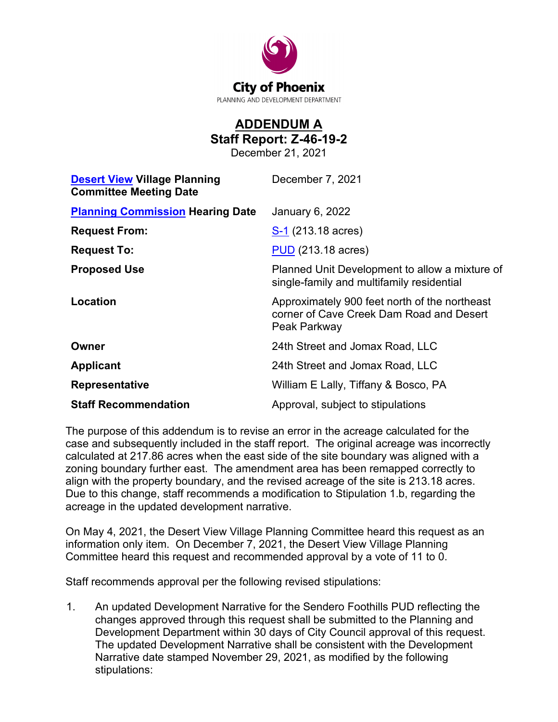

## **ADDENDUM A Staff Report: Z-46-19-2**

December 21, 2021

| <b>Desert View Village Planning</b><br><b>Committee Meeting Date</b> | December 7, 2021                                                                                          |
|----------------------------------------------------------------------|-----------------------------------------------------------------------------------------------------------|
| <b>Planning Commission Hearing Date</b>                              | January 6, 2022                                                                                           |
| <b>Request From:</b>                                                 | S-1 (213.18 acres)                                                                                        |
| <b>Request To:</b>                                                   | <b>PUD</b> (213.18 acres)                                                                                 |
| <b>Proposed Use</b>                                                  | Planned Unit Development to allow a mixture of<br>single-family and multifamily residential               |
| Location                                                             | Approximately 900 feet north of the northeast<br>corner of Cave Creek Dam Road and Desert<br>Peak Parkway |
| Owner                                                                | 24th Street and Jomax Road, LLC                                                                           |
| <b>Applicant</b>                                                     | 24th Street and Jomax Road, LLC                                                                           |
| <b>Representative</b>                                                | William E Lally, Tiffany & Bosco, PA                                                                      |
| <b>Staff Recommendation</b>                                          | Approval, subject to stipulations                                                                         |

The purpose of this addendum is to revise an error in the acreage calculated for the case and subsequently included in the staff report. The original acreage was incorrectly calculated at 217.86 acres when the east side of the site boundary was aligned with a zoning boundary further east. The amendment area has been remapped correctly to align with the property boundary, and the revised acreage of the site is 213.18 acres. Due to this change, staff recommends a modification to Stipulation 1.b, regarding the acreage in the updated development narrative.

On May 4, 2021, the Desert View Village Planning Committee heard this request as an information only item. On December 7, 2021, the Desert View Village Planning Committee heard this request and recommended approval by a vote of 11 to 0.

Staff recommends approval per the following revised stipulations:

1. An updated Development Narrative for the Sendero Foothills PUD reflecting the changes approved through this request shall be submitted to the Planning and Development Department within 30 days of City Council approval of this request. The updated Development Narrative shall be consistent with the Development Narrative date stamped November 29, 2021, as modified by the following stipulations: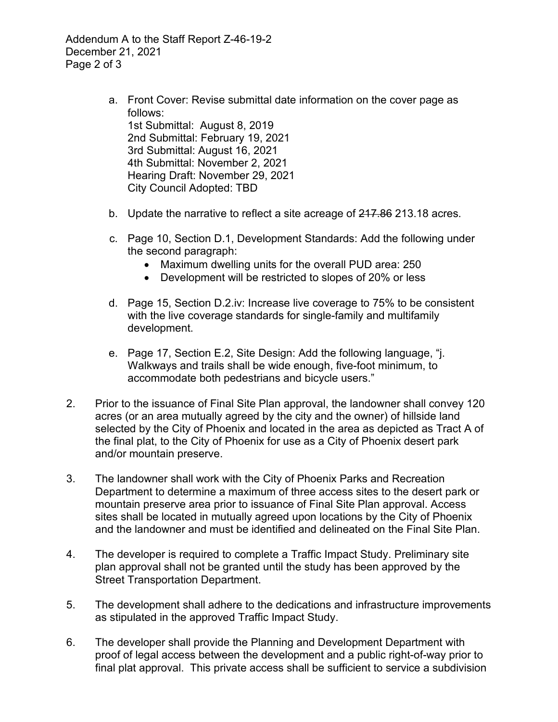Addendum A to the Staff Report Z-46-19-2 December 21, 2021 Page 2 of 3

- a. Front Cover: Revise submittal date information on the cover page as follows: 1st Submittal: August 8, 2019 2nd Submittal: February 19, 2021 3rd Submittal: August 16, 2021 4th Submittal: November 2, 2021 Hearing Draft: November 29, 2021 City Council Adopted: TBD
- b. Update the narrative to reflect a site acreage of 217.86 213.18 acres.
- c. Page 10, Section D.1, Development Standards: Add the following under the second paragraph:
	- Maximum dwelling units for the overall PUD area: 250
	- Development will be restricted to slopes of 20% or less
- d. Page 15, Section D.2.iv: Increase live coverage to 75% to be consistent with the live coverage standards for single-family and multifamily development.
- e. Page 17, Section E.2, Site Design: Add the following language, "j. Walkways and trails shall be wide enough, five-foot minimum, to accommodate both pedestrians and bicycle users."
- 2. Prior to the issuance of Final Site Plan approval, the landowner shall convey 120 acres (or an area mutually agreed by the city and the owner) of hillside land selected by the City of Phoenix and located in the area as depicted as Tract A of the final plat, to the City of Phoenix for use as a City of Phoenix desert park and/or mountain preserve.
- 3. The landowner shall work with the City of Phoenix Parks and Recreation Department to determine a maximum of three access sites to the desert park or mountain preserve area prior to issuance of Final Site Plan approval. Access sites shall be located in mutually agreed upon locations by the City of Phoenix and the landowner and must be identified and delineated on the Final Site Plan.
- 4. The developer is required to complete a Traffic Impact Study. Preliminary site plan approval shall not be granted until the study has been approved by the Street Transportation Department.
- 5. The development shall adhere to the dedications and infrastructure improvements as stipulated in the approved Traffic Impact Study.
- 6. The developer shall provide the Planning and Development Department with proof of legal access between the development and a public right-of-way prior to final plat approval. This private access shall be sufficient to service a subdivision